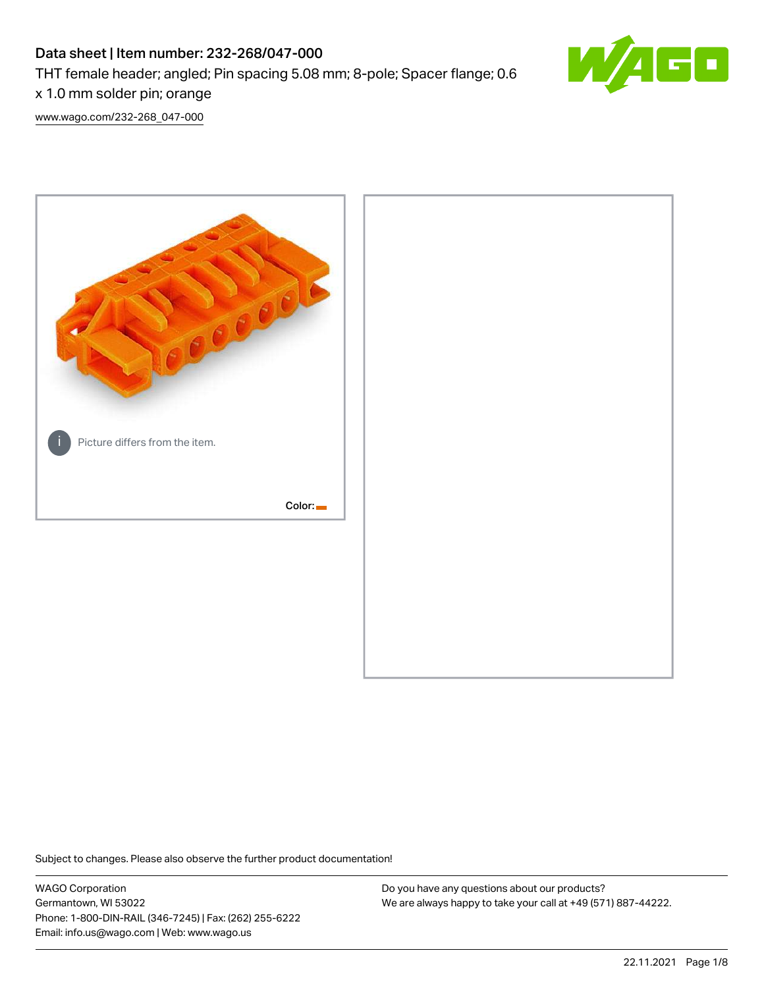# Data sheet | Item number: 232-268/047-000

THT female header; angled; Pin spacing 5.08 mm; 8-pole; Spacer flange; 0.6

x 1.0 mm solder pin; orange

[www.wago.com/232-268\\_047-000](http://www.wago.com/232-268_047-000)



Subject to changes. Please also observe the further product documentation!

WAGO Corporation Germantown, WI 53022 Phone: 1-800-DIN-RAIL (346-7245) | Fax: (262) 255-6222 Email: info.us@wago.com | Web: www.wago.us

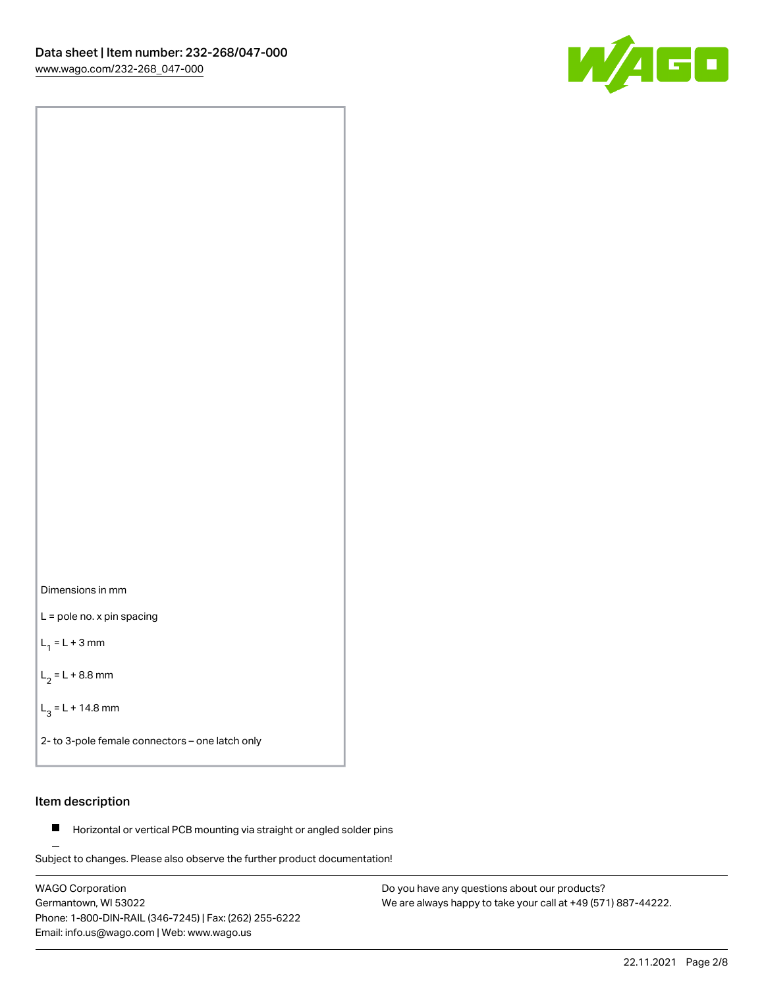



L = pole no. x pin spacing

 $L_1 = L + 3$  mm

 $L_2 = L + 8.8$  mm

 $L_3 = L + 14.8$  mm

2- to 3-pole female connectors – one latch only

## Item description

**Horizontal or vertical PCB mounting via straight or angled solder pins** 

Subject to changes. Please also observe the further product documentation! For board-to-board and board-to-wire connections

WAGO Corporation Germantown, WI 53022 Phone: 1-800-DIN-RAIL (346-7245) | Fax: (262) 255-6222 Email: info.us@wago.com | Web: www.wago.us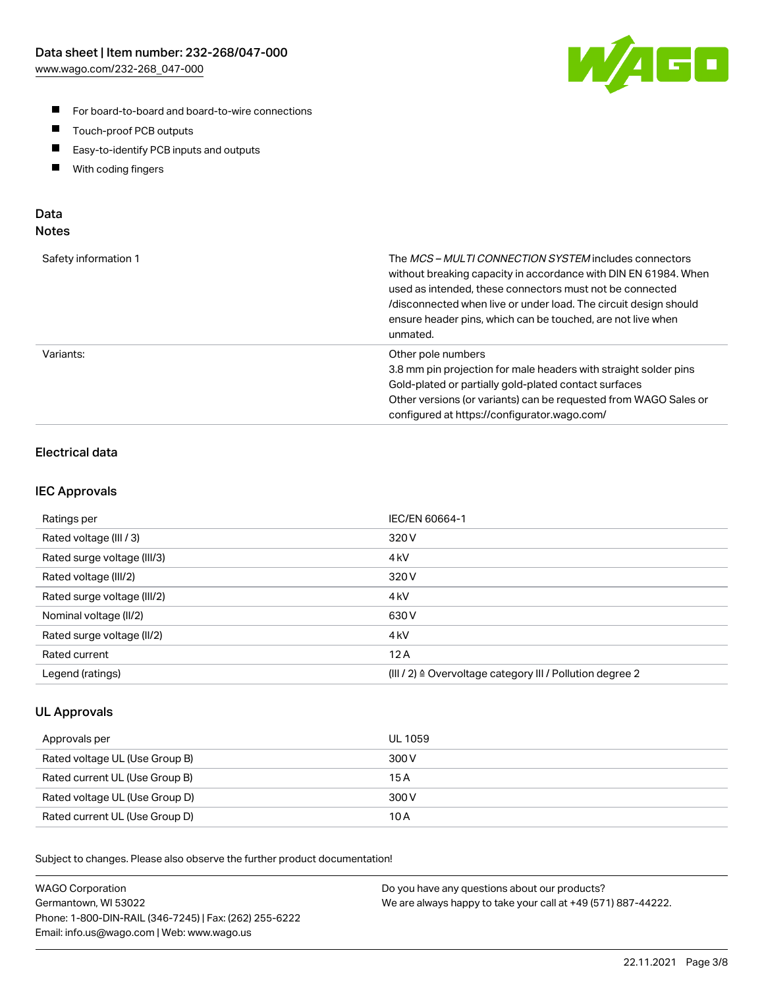

- For board-to-board and board-to-wire connections
- $\blacksquare$ Touch-proof PCB outputs
- $\blacksquare$ Easy-to-identify PCB inputs and outputs
- $\blacksquare$ With coding fingers

## Data **Notes**

| Safety information 1 | The <i>MCS – MULTI CONNECTION SYSTEM</i> includes connectors<br>without breaking capacity in accordance with DIN EN 61984. When<br>used as intended, these connectors must not be connected<br>/disconnected when live or under load. The circuit design should<br>ensure header pins, which can be touched, are not live when<br>unmated. |
|----------------------|--------------------------------------------------------------------------------------------------------------------------------------------------------------------------------------------------------------------------------------------------------------------------------------------------------------------------------------------|
| Variants:            | Other pole numbers<br>3.8 mm pin projection for male headers with straight solder pins<br>Gold-plated or partially gold-plated contact surfaces<br>Other versions (or variants) can be requested from WAGO Sales or<br>configured at https://configurator.wago.com/                                                                        |

## Electrical data

## IEC Approvals

| Ratings per                 | IEC/EN 60664-1                                                        |
|-----------------------------|-----------------------------------------------------------------------|
| Rated voltage (III / 3)     | 320 V                                                                 |
| Rated surge voltage (III/3) | 4 <sub>k</sub> V                                                      |
| Rated voltage (III/2)       | 320 V                                                                 |
| Rated surge voltage (III/2) | 4 <sub>k</sub> V                                                      |
| Nominal voltage (II/2)      | 630 V                                                                 |
| Rated surge voltage (II/2)  | 4 <sub>k</sub> V                                                      |
| Rated current               | 12A                                                                   |
| Legend (ratings)            | $(III / 2)$ $\triangle$ Overvoltage category III / Pollution degree 2 |

## UL Approvals

| Approvals per                  | UL 1059 |
|--------------------------------|---------|
| Rated voltage UL (Use Group B) | 300 V   |
| Rated current UL (Use Group B) | 15 A    |
| Rated voltage UL (Use Group D) | 300 V   |
| Rated current UL (Use Group D) | 10 A    |

Subject to changes. Please also observe the further product documentation!

| <b>WAGO Corporation</b>                                | Do you have any questions about our products?                 |
|--------------------------------------------------------|---------------------------------------------------------------|
| Germantown, WI 53022                                   | We are always happy to take your call at +49 (571) 887-44222. |
| Phone: 1-800-DIN-RAIL (346-7245)   Fax: (262) 255-6222 |                                                               |
| Email: info.us@wago.com   Web: www.wago.us             |                                                               |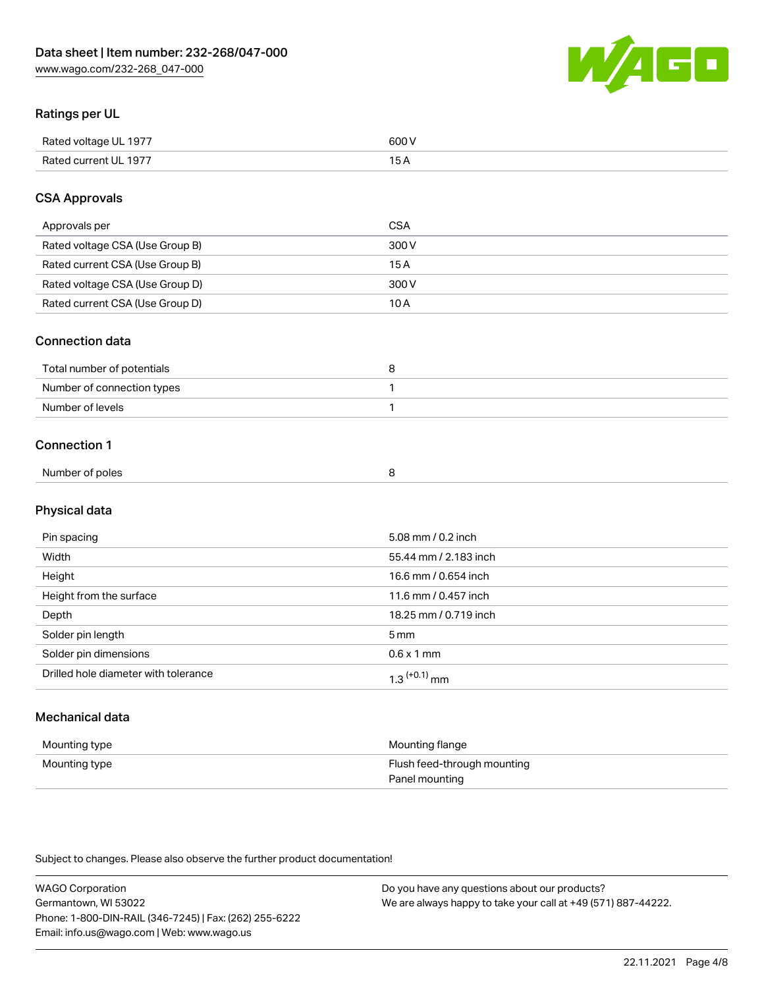

## Ratings per UL

| Rated voltage UL 1977 | 600 \<br>.   |
|-----------------------|--------------|
| Rated current UL 1977 | . . <i>.</i> |

## CSA Approvals

| Approvals per                   | CSA   |
|---------------------------------|-------|
| Rated voltage CSA (Use Group B) | 300 V |
| Rated current CSA (Use Group B) | 15 A  |
| Rated voltage CSA (Use Group D) | 300 V |
| Rated current CSA (Use Group D) | 10 A  |

### Connection data

| Total number of potentials |  |
|----------------------------|--|
| Number of connection types |  |
| Number of levels           |  |

### Connection 1

| Number of poles |  |
|-----------------|--|
|                 |  |

# Physical data

| Pin spacing                          | 5.08 mm / 0.2 inch    |
|--------------------------------------|-----------------------|
| Width                                | 55.44 mm / 2.183 inch |
| Height                               | 16.6 mm / 0.654 inch  |
| Height from the surface              | 11.6 mm / 0.457 inch  |
| Depth                                | 18.25 mm / 0.719 inch |
| Solder pin length                    | 5 <sub>mm</sub>       |
| Solder pin dimensions                | $0.6 \times 1$ mm     |
| Drilled hole diameter with tolerance | $1.3$ $(+0.1)$ mm     |

# Mechanical data

| Mounting type | Mounting flange             |
|---------------|-----------------------------|
| Mounting type | Flush feed-through mounting |
|               | Panel mounting              |

Subject to changes. Please also observe the further product documentation!

| <b>WAGO Corporation</b>                                | Do you have any questions about our products?                 |
|--------------------------------------------------------|---------------------------------------------------------------|
| Germantown, WI 53022                                   | We are always happy to take your call at +49 (571) 887-44222. |
| Phone: 1-800-DIN-RAIL (346-7245)   Fax: (262) 255-6222 |                                                               |
| Email: info.us@wago.com   Web: www.wago.us             |                                                               |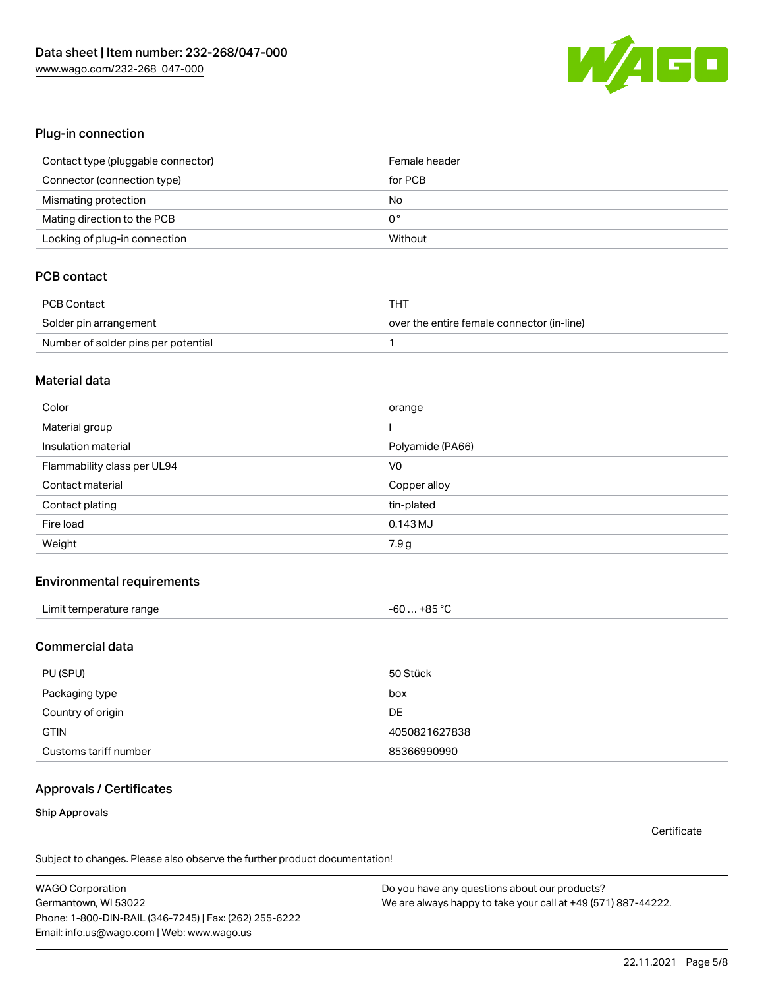

#### Plug-in connection

| Contact type (pluggable connector) | Female header |
|------------------------------------|---------------|
| Connector (connection type)        | for PCB       |
| Mismating protection               | No            |
| Mating direction to the PCB        | 0°            |
| Locking of plug-in connection      | Without       |

# PCB contact

| PCB Contact                         | THT                                        |
|-------------------------------------|--------------------------------------------|
| Solder pin arrangement              | over the entire female connector (in-line) |
| Number of solder pins per potential |                                            |

#### Material data

| Color                       | orange           |
|-----------------------------|------------------|
| Material group              |                  |
| Insulation material         | Polyamide (PA66) |
| Flammability class per UL94 | V <sub>0</sub>   |
| Contact material            | Copper alloy     |
| Contact plating             | tin-plated       |
| Fire load                   | $0.143$ MJ       |
| Weight                      | 7.9 g            |

### Environmental requirements

| Limit temperature range | $-60+85 °C$ |
|-------------------------|-------------|
|-------------------------|-------------|

### Commercial data

| PU (SPU)              | 50 Stück      |
|-----------------------|---------------|
| Packaging type        | box           |
| Country of origin     | DE            |
| <b>GTIN</b>           | 4050821627838 |
| Customs tariff number | 85366990990   |

## Approvals / Certificates

#### Ship Approvals

**Certificate** 

Subject to changes. Please also observe the further product documentation!

WAGO Corporation Germantown, WI 53022 Phone: 1-800-DIN-RAIL (346-7245) | Fax: (262) 255-6222 Email: info.us@wago.com | Web: www.wago.us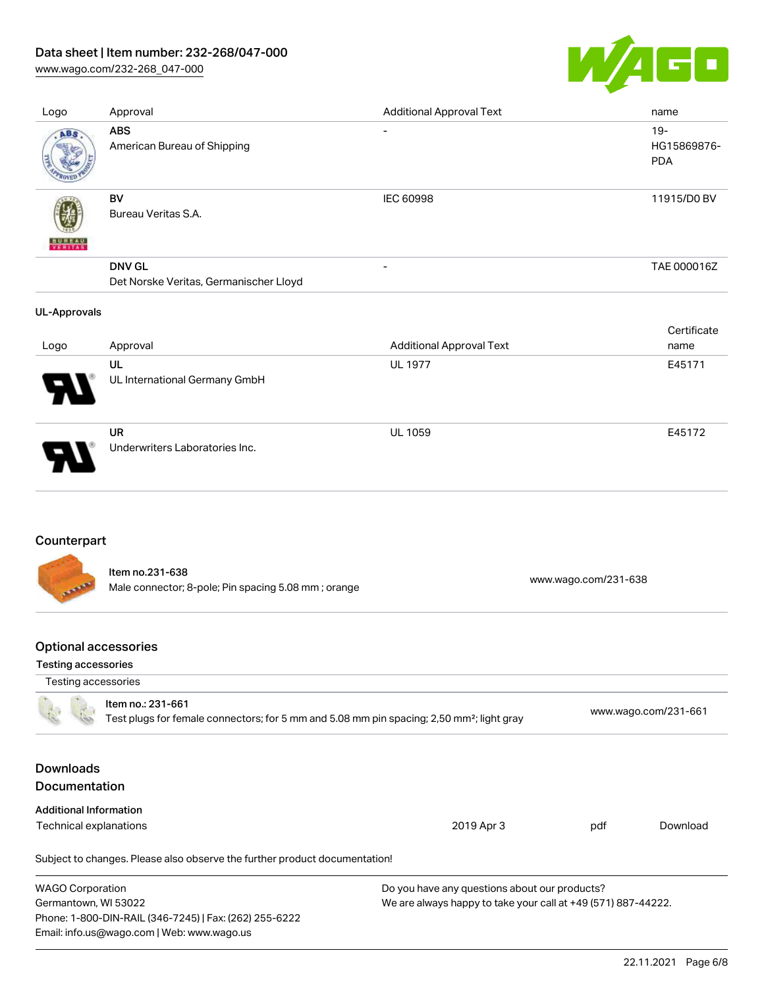# Data sheet | Item number: 232-268/047-000

[www.wago.com/232-268\\_047-000](http://www.wago.com/232-268_047-000)



| Logo                | Approval                                                | <b>Additional Approval Text</b> | name                                |
|---------------------|---------------------------------------------------------|---------------------------------|-------------------------------------|
| ABS                 | <b>ABS</b><br>American Bureau of Shipping               | $\overline{\phantom{a}}$        | $19 -$<br>HG15869876-<br><b>PDA</b> |
| VERITAS             | BV<br>Bureau Veritas S.A.                               | IEC 60998                       | 11915/D0 BV                         |
|                     | <b>DNV GL</b><br>Det Norske Veritas, Germanischer Lloyd | $\overline{\phantom{a}}$        | TAE 000016Z                         |
| <b>UL-Approvals</b> |                                                         |                                 |                                     |
| Logo                | Approval                                                | <b>Additional Approval Text</b> | Certificate<br>name                 |
|                     | UL<br>UL International Germany GmbH                     | <b>UL 1977</b>                  | E45171                              |
|                     | <b>UR</b><br>Underwriters Laboratories Inc.             | <b>UL 1059</b>                  | E45172                              |

## Counterpart

Item no.231-638 Male connector; 8-pole; Pin spacing 5.08 mm ; orange [www.wago.com/231-638](https://www.wago.com/231-638) www.wago.com/231-638

## Optional accessories

Email: info.us@wago.com | Web: www.wago.us

#### Testing accessories

| Testing accessories                      |                                                                                                                            |                                                               |     |                      |  |
|------------------------------------------|----------------------------------------------------------------------------------------------------------------------------|---------------------------------------------------------------|-----|----------------------|--|
|                                          | Item no.: 231-661<br>Test plugs for female connectors; for 5 mm and 5.08 mm pin spacing; 2,50 mm <sup>2</sup> ; light gray |                                                               |     | www.wago.com/231-661 |  |
| <b>Downloads</b><br><b>Documentation</b> |                                                                                                                            |                                                               |     |                      |  |
| <b>Additional Information</b>            |                                                                                                                            |                                                               |     |                      |  |
| Technical explanations                   |                                                                                                                            | 2019 Apr 3                                                    | pdf | Download             |  |
|                                          | Subject to changes. Please also observe the further product documentation!                                                 |                                                               |     |                      |  |
| <b>WAGO Corporation</b>                  |                                                                                                                            | Do you have any questions about our products?                 |     |                      |  |
| Germantown, WI 53022                     |                                                                                                                            | We are always happy to take your call at +49 (571) 887-44222. |     |                      |  |
|                                          | Phone: 1-800-DIN-RAIL (346-7245)   Fax: (262) 255-6222                                                                     |                                                               |     |                      |  |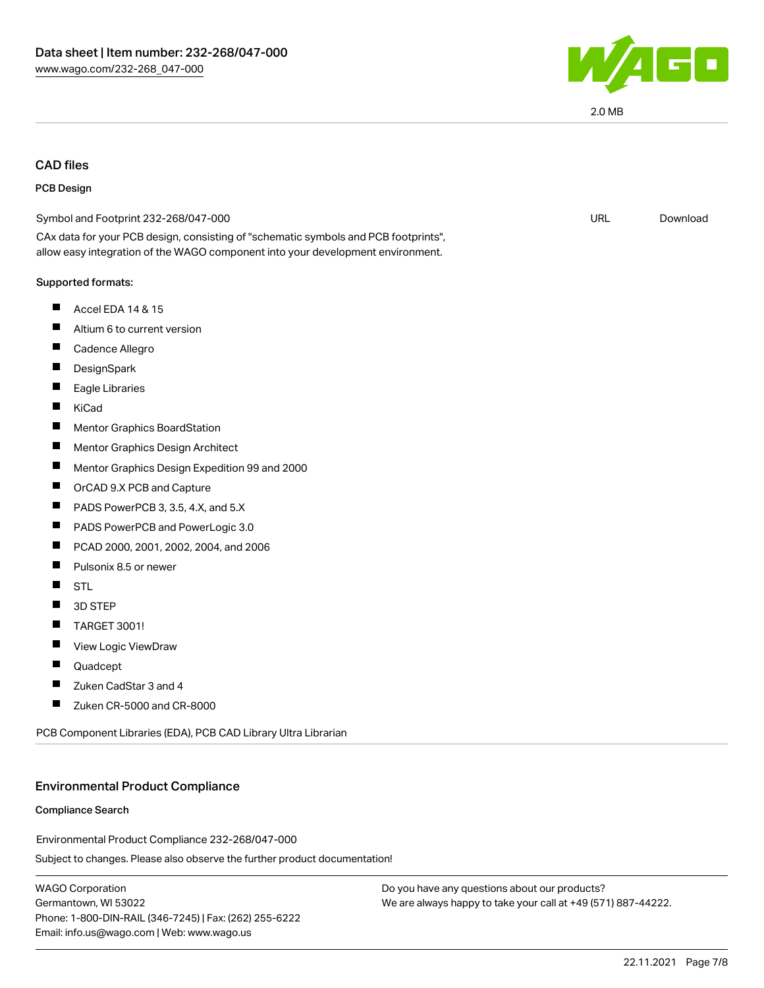

2.0 MB

## CAD files

#### PCB Design

| Symbol and Footprint 232-268/047-000                                                                                                                                   | <b>URL</b> | Download |
|------------------------------------------------------------------------------------------------------------------------------------------------------------------------|------------|----------|
| CAx data for your PCB design, consisting of "schematic symbols and PCB footprints",<br>allow easy integration of the WAGO component into your development environment. |            |          |
| Supported formats:                                                                                                                                                     |            |          |
| Ш<br>Accel EDA 14 & 15                                                                                                                                                 |            |          |
| Altium 6 to current version                                                                                                                                            |            |          |
| Cadence Allegro                                                                                                                                                        |            |          |
| DesignSpark                                                                                                                                                            |            |          |
| Eagle Libraries                                                                                                                                                        |            |          |
| KiCad                                                                                                                                                                  |            |          |
| Mentor Graphics BoardStation                                                                                                                                           |            |          |
| Ш<br>Mentor Graphics Design Architect                                                                                                                                  |            |          |
| Mentor Graphics Design Expedition 99 and 2000                                                                                                                          |            |          |
| ш<br>OrCAD 9.X PCB and Capture                                                                                                                                         |            |          |
| PADS PowerPCB 3, 3.5, 4.X, and 5.X                                                                                                                                     |            |          |
| ш<br>PADS PowerPCB and PowerLogic 3.0                                                                                                                                  |            |          |
| PCAD 2000, 2001, 2002, 2004, and 2006                                                                                                                                  |            |          |
| Pulsonix 8.5 or newer<br>Ш                                                                                                                                             |            |          |
| <b>STL</b>                                                                                                                                                             |            |          |
| 3D STEP                                                                                                                                                                |            |          |
| ш<br><b>TARGET 3001!</b>                                                                                                                                               |            |          |
| View Logic ViewDraw<br>ш                                                                                                                                               |            |          |
| Quadcept                                                                                                                                                               |            |          |
| Zuken CadStar 3 and 4                                                                                                                                                  |            |          |
| Zuken CR-5000 and CR-8000                                                                                                                                              |            |          |
|                                                                                                                                                                        |            |          |

PCB Component Libraries (EDA), PCB CAD Library Ultra Librarian

#### Environmental Product Compliance

#### Compliance Search

Environmental Product Compliance 232-268/047-000

Subject to changes. Please also observe the further product documentation!

WAGO Corporation Germantown, WI 53022 Phone: 1-800-DIN-RAIL (346-7245) | Fax: (262) 255-6222 Email: info.us@wago.com | Web: www.wago.us